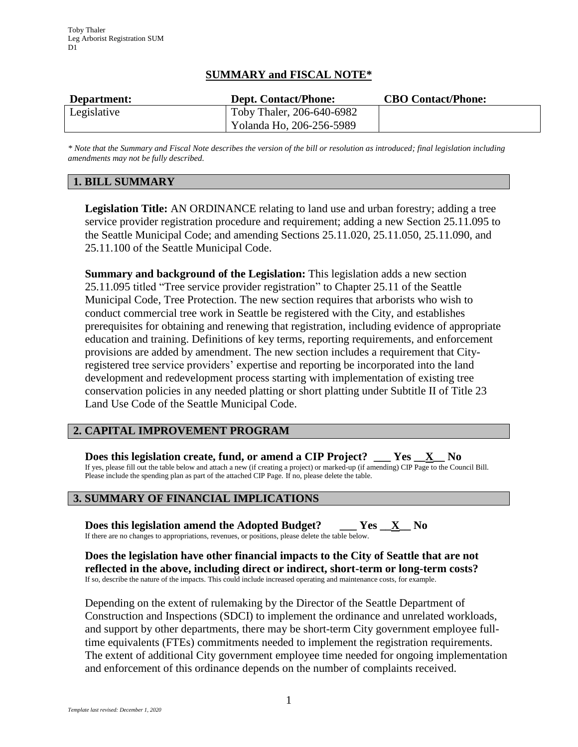### **SUMMARY and FISCAL NOTE\***

| Department: | <b>Dept. Contact/Phone:</b> | <b>CBO Contact/Phone:</b> |
|-------------|-----------------------------|---------------------------|
| Legislative | Toby Thaler, 206-640-6982   |                           |
|             | Yolanda Ho, 206-256-5989    |                           |

*\* Note that the Summary and Fiscal Note describes the version of the bill or resolution as introduced; final legislation including amendments may not be fully described.*

# **1. BILL SUMMARY**

**Legislation Title:** AN ORDINANCE relating to land use and urban forestry; adding a tree service provider registration procedure and requirement; adding a new Section 25.11.095 to the Seattle Municipal Code; and amending Sections 25.11.020, 25.11.050, 25.11.090, and 25.11.100 of the Seattle Municipal Code.

**Summary and background of the Legislation:** This legislation adds a new section 25.11.095 titled "Tree service provider registration" to Chapter 25.11 of the Seattle Municipal Code, Tree Protection. The new section requires that arborists who wish to conduct commercial tree work in Seattle be registered with the City, and establishes prerequisites for obtaining and renewing that registration, including evidence of appropriate education and training. Definitions of key terms, reporting requirements, and enforcement provisions are added by amendment. The new section includes a requirement that Cityregistered tree service providers' expertise and reporting be incorporated into the land development and redevelopment process starting with implementation of existing tree conservation policies in any needed platting or short platting under Subtitle II of Title 23 Land Use Code of the Seattle Municipal Code.

# **2. CAPITAL IMPROVEMENT PROGRAM**

**Does this legislation create, fund, or amend a CIP Project? \_\_\_ Yes \_\_X\_\_ No** If yes, please fill out the table below and attach a new (if creating a project) or marked-up (if amending) CIP Page to the Council Bill. Please include the spending plan as part of the attached CIP Page. If no, please delete the table.

# **3. SUMMARY OF FINANCIAL IMPLICATIONS**

**Does this legislation amend the Adopted Budget? \_\_\_ Yes \_\_X\_\_ No** If there are no changes to appropriations, revenues, or positions, please delete the table below.

**Does the legislation have other financial impacts to the City of Seattle that are not reflected in the above, including direct or indirect, short-term or long-term costs?** If so, describe the nature of the impacts. This could include increased operating and maintenance costs, for example.

Depending on the extent of rulemaking by the Director of the Seattle Department of Construction and Inspections (SDCI) to implement the ordinance and unrelated workloads, and support by other departments, there may be short-term City government employee fulltime equivalents (FTEs) commitments needed to implement the registration requirements. The extent of additional City government employee time needed for ongoing implementation and enforcement of this ordinance depends on the number of complaints received.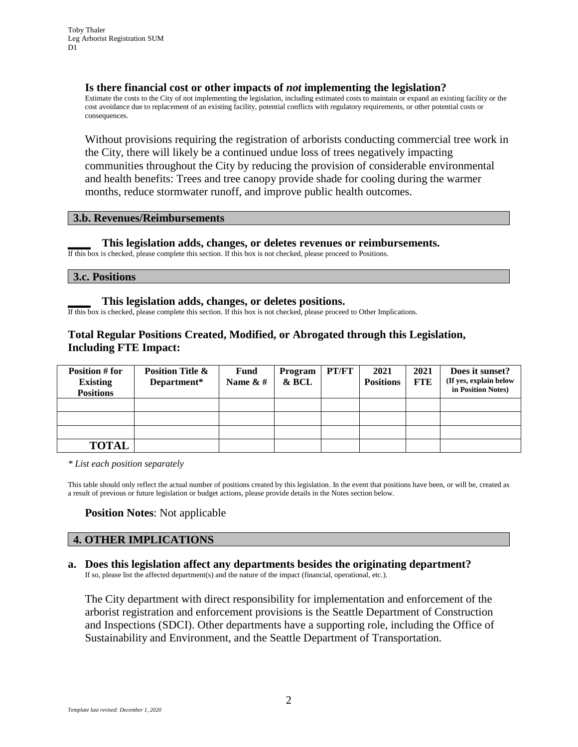#### **Is there financial cost or other impacts of** *not* **implementing the legislation?**

Estimate the costs to the City of not implementing the legislation, including estimated costs to maintain or expand an existing facility or the cost avoidance due to replacement of an existing facility, potential conflicts with regulatory requirements, or other potential costs or consequences.

Without provisions requiring the registration of arborists conducting commercial tree work in the City, there will likely be a continued undue loss of trees negatively impacting communities throughout the City by reducing the provision of considerable environmental and health benefits: Trees and tree canopy provide shade for cooling during the warmer months, reduce stormwater runoff, and improve public health outcomes.

#### **3.b. Revenues/Reimbursements**

#### **\_\_\_\_ This legislation adds, changes, or deletes revenues or reimbursements.**

If this box is checked, please complete this section. If this box is not checked, please proceed to Positions.

**3.c. Positions**

#### **\_\_\_\_ This legislation adds, changes, or deletes positions.**

If this box is checked, please complete this section. If this box is not checked, please proceed to Other Implications.

### **Total Regular Positions Created, Modified, or Abrogated through this Legislation, Including FTE Impact:**

| Position # for<br><b>Existing</b><br><b>Positions</b> | <b>Position Title &amp;</b><br>Department* | <b>Fund</b><br>Name $&#</math></th><th>Program<br>& BCL</th><th>PT/FT</th><th>2021<br><b>Positions</b></th><th>2021<br><b>FTE</b></th><th>Does it sunset?<br>(If yes, explain below<br>in Position Notes)</th></tr><tr><td></td><td></td><td></td><td></td><td></td><td></td><td></td><td></td></tr><tr><td></td><td></td><td></td><td></td><td></td><td></td><td></td><td></td></tr><tr><td></td><td></td><td></td><td></td><td></td><td></td><td></td><td></td></tr><tr><td><b>TOTAL</b></td><td></td><td></td><td></td><td></td><td></td><td></td><td></td></tr></tbody></table>$ |
|-------------------------------------------------------|--------------------------------------------|--------------------------------------------------------------------------------------------------------------------------------------------------------------------------------------------------------------------------------------------------------------------------------------------------------------------------------------------------------------------------------------------------------------------------------------------------------------------------------------------------------------------------------------------------------------------------------------|
|-------------------------------------------------------|--------------------------------------------|--------------------------------------------------------------------------------------------------------------------------------------------------------------------------------------------------------------------------------------------------------------------------------------------------------------------------------------------------------------------------------------------------------------------------------------------------------------------------------------------------------------------------------------------------------------------------------------|

*\* List each position separately*

This table should only reflect the actual number of positions created by this legislation. In the event that positions have been, or will be, created as a result of previous or future legislation or budget actions, please provide details in the Notes section below.

#### **Position Notes**: Not applicable

### **4. OTHER IMPLICATIONS**

# **a. Does this legislation affect any departments besides the originating department?**

If so, please list the affected department(s) and the nature of the impact (financial, operational, etc.).

The City department with direct responsibility for implementation and enforcement of the arborist registration and enforcement provisions is the Seattle Department of Construction and Inspections (SDCI). Other departments have a supporting role, including the Office of Sustainability and Environment, and the Seattle Department of Transportation.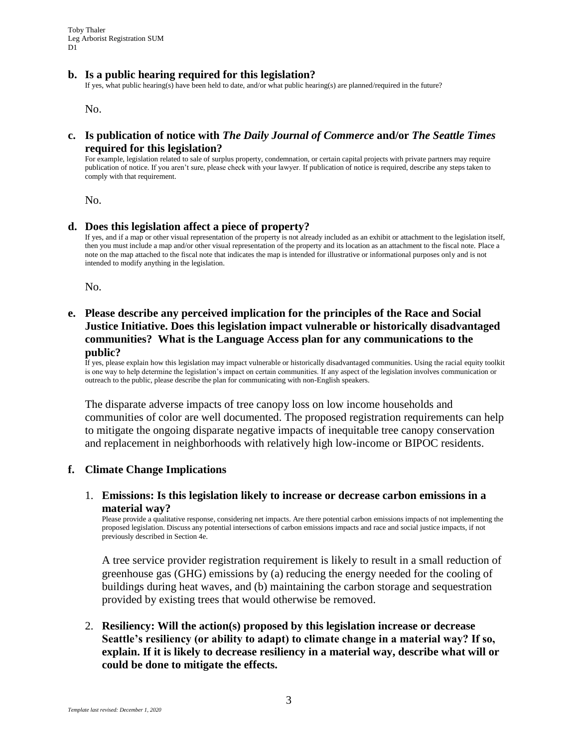#### **b. Is a public hearing required for this legislation?**

If yes, what public hearing(s) have been held to date, and/or what public hearing(s) are planned/required in the future?

No.

#### **c. Is publication of notice with** *The Daily Journal of Commerce* **and/or** *The Seattle Times* **required for this legislation?**

For example, legislation related to sale of surplus property, condemnation, or certain capital projects with private partners may require publication of notice. If you aren't sure, please check with your lawyer. If publication of notice is required, describe any steps taken to comply with that requirement.

No.

#### **d. Does this legislation affect a piece of property?**

If yes, and if a map or other visual representation of the property is not already included as an exhibit or attachment to the legislation itself, then you must include a map and/or other visual representation of the property and its location as an attachment to the fiscal note. Place a note on the map attached to the fiscal note that indicates the map is intended for illustrative or informational purposes only and is not intended to modify anything in the legislation.

No.

### **e. Please describe any perceived implication for the principles of the Race and Social Justice Initiative. Does this legislation impact vulnerable or historically disadvantaged communities? What is the Language Access plan for any communications to the public?**

If yes, please explain how this legislation may impact vulnerable or historically disadvantaged communities. Using the racial equity toolkit is one way to help determine the legislation's impact on certain communities. If any aspect of the legislation involves communication or outreach to the public, please describe the plan for communicating with non-English speakers.

The disparate adverse impacts of tree canopy loss on low income households and communities of color are well documented. The proposed registration requirements can help to mitigate the ongoing disparate negative impacts of inequitable tree canopy conservation and replacement in neighborhoods with relatively high low-income or BIPOC residents.

#### **f. Climate Change Implications**

#### 1. **Emissions: Is this legislation likely to increase or decrease carbon emissions in a material way?**

Please provide a qualitative response, considering net impacts. Are there potential carbon emissions impacts of not implementing the proposed legislation. Discuss any potential intersections of carbon emissions impacts and race and social justice impacts, if not previously described in Section 4e.

A tree service provider registration requirement is likely to result in a small reduction of greenhouse gas (GHG) emissions by (a) reducing the energy needed for the cooling of buildings during heat waves, and (b) maintaining the carbon storage and sequestration provided by existing trees that would otherwise be removed.

2. **Resiliency: Will the action(s) proposed by this legislation increase or decrease Seattle's resiliency (or ability to adapt) to climate change in a material way? If so, explain. If it is likely to decrease resiliency in a material way, describe what will or could be done to mitigate the effects.**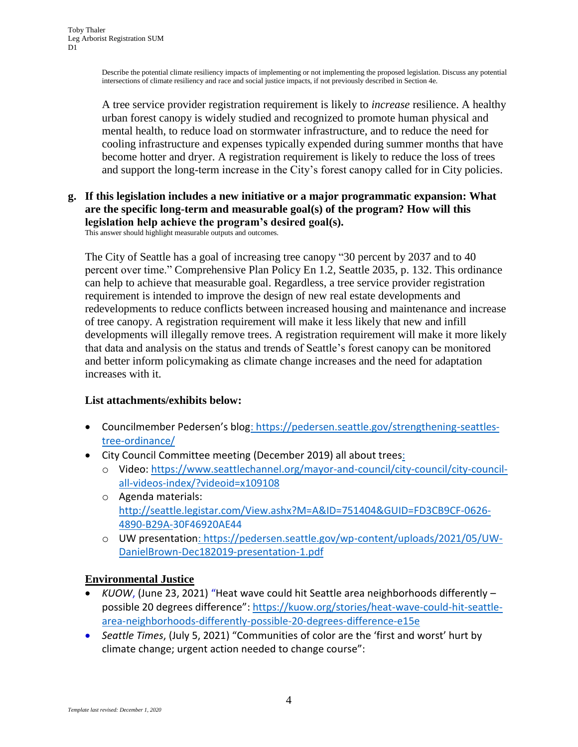Describe the potential climate resiliency impacts of implementing or not implementing the proposed legislation. Discuss any potential intersections of climate resiliency and race and social justice impacts, if not previously described in Section 4e.

A tree service provider registration requirement is likely to *increase* resilience. A healthy urban forest canopy is widely studied and recognized to promote human physical and mental health, to reduce load on stormwater infrastructure, and to reduce the need for cooling infrastructure and expenses typically expended during summer months that have become hotter and dryer. A registration requirement is likely to reduce the loss of trees and support the long-term increase in the City's forest canopy called for in City policies.

# **g. If this legislation includes a new initiative or a major programmatic expansion: What are the specific long-term and measurable goal(s) of the program? How will this legislation help achieve the program's desired goal(s).**

This answer should highlight measurable outputs and outcomes.

The City of Seattle has a goal of increasing tree canopy "30 percent by 2037 and to 40 percent over time." Comprehensive Plan Policy En 1.2, Seattle 2035, p. 132. This ordinance can help to achieve that measurable goal. Regardless, a tree service provider registration requirement is intended to improve the design of new real estate developments and redevelopments to reduce conflicts between increased housing and maintenance and increase of tree canopy. A registration requirement will make it less likely that new and infill developments will illegally remove trees. A registration requirement will make it more likely that data and analysis on the status and trends of Seattle's forest canopy can be monitored and better inform policymaking as climate change increases and the need for adaptation increases with it.

# **List attachments/exhibits below:**

- Councilmember Pedersen's blog: https://pedersen.seattle.gov/strengthening-seattlestree-ordinance/
- City Council Committee meeting (December 2019) all about trees:
	- o Video: https://www.seattlechannel.org/mayor-and-council/city-council/city-councilall-videos-index/?videoid=x109108
	- o Agenda materials: [http://seattle.legistar.com/View.ashx?M=A&ID=751404&GUID=FD3CB9CF-0626-](http://seattle.legistar.com/View.ashx?M=A&ID=751404&GUID=FD3CB9CF-0626-4890-B29A-30F46920AE44) [4890-B29A-30F46920AE44](http://seattle.legistar.com/View.ashx?M=A&ID=751404&GUID=FD3CB9CF-0626-4890-B29A-30F46920AE44)
	- o UW presentation: https://pedersen.seattle.gov/wp-content/uploads/2021/05/UW-DanielBrown-Dec182019-presentation-1.pdf

# **Environmental Justice**

- *KUOW*, (June 23, 2021) "Heat wave could hit Seattle area neighborhoods differently possible 20 degrees difference"[: https://kuow.org/stories/heat-wave-could-hit-seattle](https://kuow.org/stories/heat-wave-could-hit-seattle-area-neighborhoods-differently-possible-20-degrees-difference-e15e)[area-neighborhoods-differently-possible-20-degrees-difference-e15e](https://kuow.org/stories/heat-wave-could-hit-seattle-area-neighborhoods-differently-possible-20-degrees-difference-e15e)
- *Seattle Times*, (July 5, 2021) "Communities of color are the 'first and worst' hurt by climate change; urgent action needed to change course":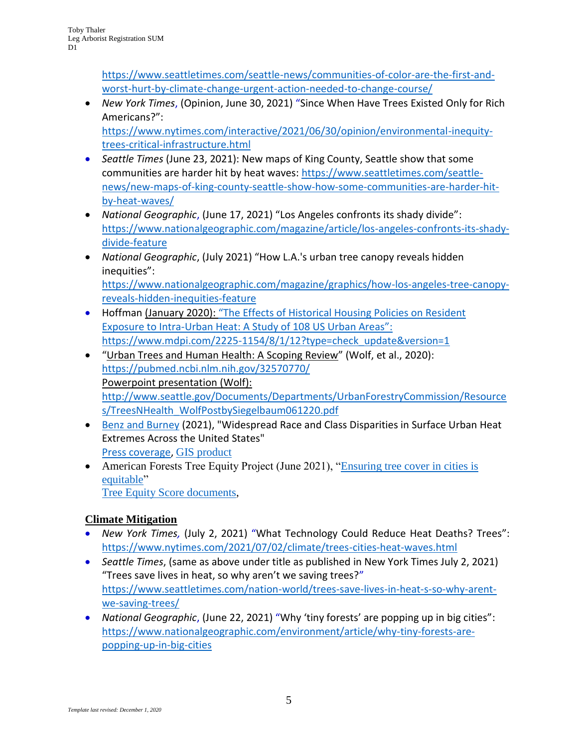[https://www.seattletimes.com/seattle-news/communities-of-color-are-the-first-and](https://www.seattletimes.com/seattle-news/communities-of-color-are-the-first-and-worst-hurt-by-climate-change-urgent-action-needed-to-change-course/)[worst-hurt-by-climate-change-urgent-action-needed-to-change-course/](https://www.seattletimes.com/seattle-news/communities-of-color-are-the-first-and-worst-hurt-by-climate-change-urgent-action-needed-to-change-course/)

- *New York Times*, (Opinion, June 30, 2021) "Since When Have Trees Existed Only for Rich Americans?": [https://www.nytimes.com/interactive/2021/06/30/opinion/environmental-inequity](https://www.nytimes.com/interactive/2021/06/30/opinion/environmental-inequity-trees-critical-infrastructure.html)[trees-critical-infrastructure.html](https://www.nytimes.com/interactive/2021/06/30/opinion/environmental-inequity-trees-critical-infrastructure.html)
- *Seattle Times* (June 23, 2021): New maps of King County, Seattle show that some communities are harder hit by heat waves: [https://www.seattletimes.com/seattle](https://www.seattletimes.com/seattle-news/new-maps-of-king-county-seattle-show-how-some-communities-are-harder-hit-by-heat-waves/)[news/new-maps-of-king-county-seattle-show-how-some-communities-are-harder-hit](https://www.seattletimes.com/seattle-news/new-maps-of-king-county-seattle-show-how-some-communities-are-harder-hit-by-heat-waves/)[by-heat-waves/](https://www.seattletimes.com/seattle-news/new-maps-of-king-county-seattle-show-how-some-communities-are-harder-hit-by-heat-waves/)
- *National Geographic*, (June 17, 2021) "Los Angeles confronts its shady divide": [https://www.nationalgeographic.com/magazine/article/los-angeles-confronts-its-shady](https://www.nationalgeographic.com/magazine/article/los-angeles-confronts-its-shady-divide-feature)[divide-feature](https://www.nationalgeographic.com/magazine/article/los-angeles-confronts-its-shady-divide-feature)
- *National Geographic*, (July 2021) "How L.A.'s urban tree canopy reveals hidden inequities": [https://www.nationalgeographic.com/magazine/graphics/how-los-angeles-tree-canopy](https://www.nationalgeographic.com/magazine/graphics/how-los-angeles-tree-canopy-reveals-hidden-inequities-feature)[reveals-hidden-inequities-feature](https://www.nationalgeographic.com/magazine/graphics/how-los-angeles-tree-canopy-reveals-hidden-inequities-feature)
- Hoffman (January 2020): "The Effects of Historical Housing Policies on Resident Exposure to Intra-Urban Heat: A Study of 108 US Urban Areas": [https://www.mdpi.com/2225-1154/8/1/12?type=check\\_update&version=1](https://www.mdpi.com/2225-1154/8/1/12?type=check_update&version=1)
- "Urban Trees and Human Health: A Scoping Review" (Wolf, et al., 2020): <https://pubmed.ncbi.nlm.nih.gov/32570770/> Powerpoint presentation (Wolf): [http://www.seattle.gov/Documents/Departments/UrbanForestryCommission/Resource](http://www.seattle.gov/Documents/Departments/UrbanForestryCommission/Resources/TreesNHealth_WolfPostbySiegelbaum061220.pdf) [s/TreesNHealth\\_WolfPostbySiegelbaum061220.pdf](http://www.seattle.gov/Documents/Departments/UrbanForestryCommission/Resources/TreesNHealth_WolfPostbySiegelbaum061220.pdf)
- [Benz and Burney](https://agupubs.onlinelibrary.wiley.com/doi/epdf/10.1029/2021EF002016) (2021), "Widespread Race and Class Disparities in Surface Urban Heat Extremes Across the United States" [Press coverage,](https://www.eurekalert.org/pub_releases/2021-07/uoc--pam071221.php) [GIS product](https://sabenz.users.earthengine.app/view/urbanheatusa)
- American Forests Tree Equity Project (June 2021), "Ensuring tree cover in cities is [equitable"](https://www.americanforests.org/our-work/tree-equity-score/) [Tree Equity Score documents,](https://www.treeequityscore.org/)

# **Climate Mitigation**

- *New York Times,* (July 2, 2021) "What Technology Could Reduce Heat Deaths? Trees": <https://www.nytimes.com/2021/07/02/climate/trees-cities-heat-waves.html>
- *Seattle Times*, (same as above under title as published in New York Times July 2, 2021) "Trees save lives in heat, so why aren't we saving trees?" [https://www.seattletimes.com/nation-world/trees-save-lives-in-heat-s-so-why-arent](https://www.seattletimes.com/nation-world/trees-save-lives-in-heat-s-so-why-arent-we-saving-trees/)[we-saving-trees/](https://www.seattletimes.com/nation-world/trees-save-lives-in-heat-s-so-why-arent-we-saving-trees/)
- *National Geographic*, (June 22, 2021) "Why 'tiny forests' are popping up in big cities": [https://www.nationalgeographic.com/environment/article/why-tiny-forests-are](https://www.nationalgeographic.com/environment/article/why-tiny-forests-are-popping-up-in-big-cities)[popping-up-in-big-cities](https://www.nationalgeographic.com/environment/article/why-tiny-forests-are-popping-up-in-big-cities)